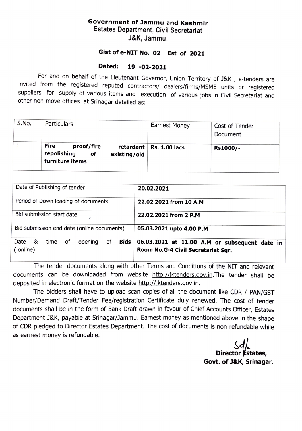## Government of Jammu and Kashmir Estates Department, Civil Secretariat J&K, Jammu.

## Gist of e-NIT No. 02 Est of 2021

## Dated: 19 -02-2021

For and on behalf of the Lieutenant Governor, Union Territory of J&K, e-tenders are invited from the registered reputed contractors/ dealers/firms/MSME units or registered<br>suppliers for supply of various items and execution of various jobs in Civil Secretariat and other non move offices at Srinagar detailed as:

| S.No. | <b>Particulars</b>                                                         | <b>Earnest Money</b>        | Cost of Tender<br>Document |
|-------|----------------------------------------------------------------------------|-----------------------------|----------------------------|
|       | Fire<br>proof/fire<br>repolishing<br>оf<br>existing/old<br>furniture items | retardant   Rs. $1.00$ lacs | Rs1000/-                   |

| Date of Publishing of tender                      | 20.02.2021                                                                                       |  |
|---------------------------------------------------|--------------------------------------------------------------------------------------------------|--|
| Period of Down loading of documents               | 22.02.2021 from 10 A.M                                                                           |  |
| Bid submission start date                         | 22.02.2021 from 2 P.M                                                                            |  |
| Bid submission end date (online documents)        | 05.03.2021 upto 4.00 P.M                                                                         |  |
| Date &<br>of<br>time<br>opening<br>of<br>(online) | Bids $\vert$ 06.03.2021 at 11.00 A.M or subsequent date in<br>Room No.G-4 Civil Secretariat Sqr. |  |

The tender documents along with other Terms and Conditions of the NIT and relevant documents can be downloaded from website http://jktenders.gov.in.The tender shall be deposited in electronic format on the website http://jktenders.gov.in.

The bidders shall have to upload scan copies of all the document like CDR/ PAN/GST Number/Demand Draft/Tender Fee/registration Certificate duly renewed. The cost of tender documents shall be in the form of Bank Draft drawn in favour of Chief Accounts Officer, Estates Department J&K, payable at Srinagar/Jammu. Earnest money as mentioned above in the shape of CDR pledged to Director Estates Department. The cost of documents is non refundable while as earnest money is refundable.

Director **Estates**, Govt. of J&K, Srinagar.